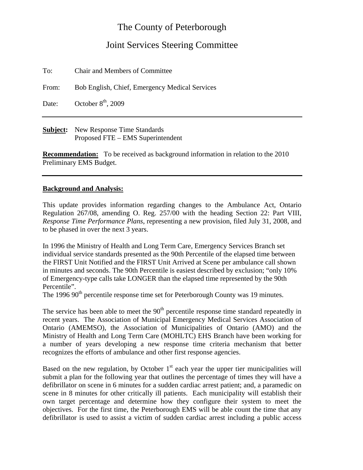## The County of Peterborough

## Joint Services Steering Committee

To: Chair and Members of Committee

From: Bob English, Chief, Emergency Medical Services

Date: October  $8<sup>th</sup>$ , 2009

**Subject:** New Response Time Standards Proposed FTE – EMS Superintendent

**Recommendation:** To be received as background information in relation to the 2010 Preliminary EMS Budget.

## **Background and Analysis:**

This update provides information regarding changes to the Ambulance Act, Ontario Regulation 267/08, amending O. Reg. 257/00 with the heading Section 22: Part VIII, *Response Time Performance Plans*, representing a new provision, filed July 31, 2008, and to be phased in over the next 3 years.

In 1996 the Ministry of Health and Long Term Care, Emergency Services Branch set individual service standards presented as the 90th Percentile of the elapsed time between the FIRST Unit Notified and the FIRST Unit Arrived at Scene per ambulance call shown in minutes and seconds. The 90th Percentile is easiest described by exclusion; "only 10% of Emergency-type calls take LONGER than the elapsed time represented by the 90th Percentile".

The 1996 90<sup>th</sup> percentile response time set for Peterborough County was 19 minutes.

The service has been able to meet the  $90<sup>th</sup>$  percentile response time standard repeatedly in recent years. The Association of Municipal Emergency Medical Services Association of Ontario (AMEMSO), the Association of Municipalities of Ontario (AMO) and the Ministry of Health and Long Term Care (MOHLTC) EHS Branch have been working for a number of years developing a new response time criteria mechanism that better recognizes the efforts of ambulance and other first response agencies.

Based on the new regulation, by October  $1<sup>st</sup>$  each year the upper tier municipalities will submit a plan for the following year that outlines the percentage of times they will have a defibrillator on scene in 6 minutes for a sudden cardiac arrest patient; and, a paramedic on scene in 8 minutes for other critically ill patients. Each municipality will establish their own target percentage and determine how they configure their system to meet the objectives. For the first time, the Peterborough EMS will be able count the time that any defibrillator is used to assist a victim of sudden cardiac arrest including a public access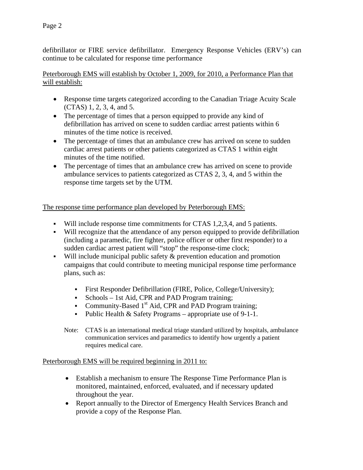defibrillator or FIRE service defibrillator. Emergency Response Vehicles (ERV's) can continue to be calculated for response time performance

Peterborough EMS will establish by October 1, 2009, for 2010, a Performance Plan that will establish:

- Response time targets categorized according to the Canadian Triage Acuity Scale (CTAS) 1, 2, 3, 4, and 5.
- The percentage of times that a person equipped to provide any kind of defibrillation has arrived on scene to sudden cardiac arrest patients within 6 minutes of the time notice is received.
- The percentage of times that an ambulance crew has arrived on scene to sudden cardiac arrest patients or other patients categorized as CTAS 1 within eight minutes of the time notified.
- The percentage of times that an ambulance crew has arrived on scene to provide ambulance services to patients categorized as CTAS 2, 3, 4, and 5 within the response time targets set by the UTM.

The response time performance plan developed by Peterborough EMS:

- Will include response time commitments for CTAS 1,2,3,4, and 5 patients.
- Will recognize that the attendance of any person equipped to provide defibrillation (including a paramedic, fire fighter, police officer or other first responder) to a sudden cardiac arrest patient will "stop" the response-time clock;
- Will include municipal public safety & prevention education and promotion campaigns that could contribute to meeting municipal response time performance plans, such as:
	- First Responder Defibrillation (FIRE, Police, College/University);
	- Schools 1st Aid, CPR and PAD Program training:
	- Community-Based  $1<sup>st</sup>$  Aid, CPR and PAD Program training;
	- Public Health  $&$  Safety Programs appropriate use of 9-1-1.
	- Note: CTAS is an international medical triage standard utilized by hospitals, ambulance communication services and paramedics to identify how urgently a patient requires medical care.

## Peterborough EMS will be required beginning in 2011 to:

- Establish a mechanism to ensure The Response Time Performance Plan is monitored, maintained, enforced, evaluated, and if necessary updated throughout the year.
- Report annually to the Director of Emergency Health Services Branch and provide a copy of the Response Plan.